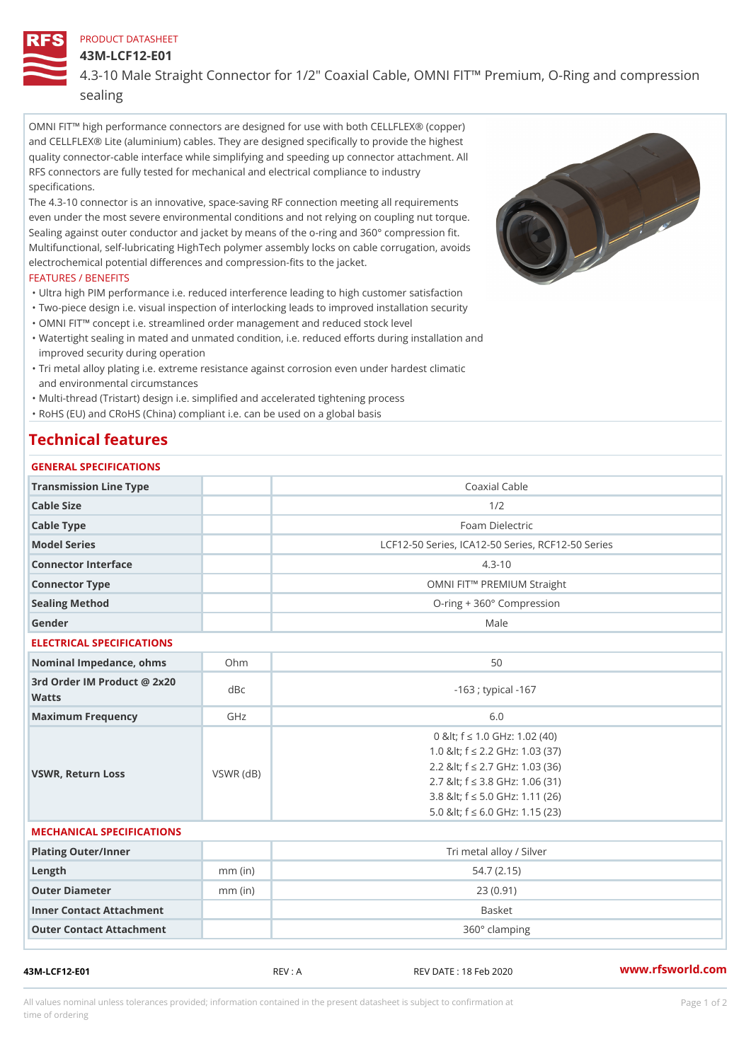### PRODUCT DATASHEET

43M-LCF12-E01

## 4.3-10 Male Straight Connector for 1/2" Coaxial Cable, OMNI FIT!" Pren sealing

OMNI FIT!" high performance connectors are designed for use with both CELLFLEX® (copper) and CELLFLEX® Lite (aluminium) cables. They are designed specifically to provide the highest quality connector-cable interface while simplifying and speeding up connector attachment. All RFS connectors are fully tested for mechanical and electrical compliance to industry specifications.

The 4.3-10 connector is an innovative, space-saving RF connection meeting all requirements even under the most severe environmental conditions and not relying on coupling nut torque. Sealing against outer conductor and jacket by means of the o-ring and 360° compression fit. Multifunctional, self-lubricating HighTech polymer assembly locks on cable corrugation, avoids electrochemical potential differences and compression-fits to the jacket.

### FEATURES / BENEFITS

- "Ultra high PIM performance i.e. reduced interference leading to high customer satisfaction "Two-piece design i.e. visual inspection of interlocking leads to improved installation security
- "OMNI FIT!" concept i.e. streamlined order management and reduced stock level
- Watertight sealing in mated and unmated condition, i.e. reduced efforts during installation and " improved security during operation
- Tri metal alloy plating i.e. extreme resistance against corrosion even under hardest climatic " and environmental circumstances

"Multi-thread (Tristart) design i.e. simplified and accelerated tightening process

"RoHS (EU) and CRoHS (China) compliant i.e. can be used on a global basis

# Technical features

| GENERAL SPECIFICATIONS                   |                 |                                                                                                                                                                                                                          |
|------------------------------------------|-----------------|--------------------------------------------------------------------------------------------------------------------------------------------------------------------------------------------------------------------------|
| Transmission Line Type                   |                 | Coaxial Cable                                                                                                                                                                                                            |
| Cable Size                               |                 | 1/2                                                                                                                                                                                                                      |
| Cable Type                               |                 | Foam Dielectric                                                                                                                                                                                                          |
| Model Series                             |                 | LCF12-50 Series, ICA12-50 Series, RCF12-50 Serie                                                                                                                                                                         |
| Connector Interface                      |                 | $4.3 - 10$                                                                                                                                                                                                               |
| Connector Type                           |                 | OMNI FIT!" PREMIUM Straight                                                                                                                                                                                              |
| Sealing Method                           |                 | O-ring + 360° Compression                                                                                                                                                                                                |
| Gender                                   |                 | Male                                                                                                                                                                                                                     |
| ELECTRICAL SPECIFICATIONS                |                 |                                                                                                                                                                                                                          |
| Nominal Impedance, ohins Ohm             |                 | 50                                                                                                                                                                                                                       |
| 3rd Order IM Product @ 2x20 dBc<br>Watts |                 | $-163$ ; typical $-167$                                                                                                                                                                                                  |
| Maximum Frequency                        | GHz             | 6.0                                                                                                                                                                                                                      |
| VSWR, Return Loss                        | $VSWR$ ( $dB$ ) | 0 & It: f "d 1.0 GHz: 1.02 (40)<br>1.0 & It; f "d 2.2 GHz: 1.03 (37)<br>2.2 & It; f "d 2.7 GHz: 1.03 (36)<br>2.7 & It; f "d 3.8 GHz: 1.06 (31)<br>3.8 & It; f "d 5.0 GHz: 1.11 (26)<br>5.0 & It; f "d 6.0 GHz: 1.15 (23) |
| MECHANICAL SPECIFICATIONS                |                 |                                                                                                                                                                                                                          |
| Plating Outer/Inner                      |                 | Tri metal alloy / Silver                                                                                                                                                                                                 |
| $L$ ength                                | $mm$ (in)       | 54.7(2.15)                                                                                                                                                                                                               |
| Outer Diameter                           | $mm$ (in)       | 23(0.91)                                                                                                                                                                                                                 |
| Inner Contact Attachment                 |                 | Basket                                                                                                                                                                                                                   |
| Outer Contact Attachment                 |                 | 360° clamping                                                                                                                                                                                                            |

43M-LCF12-E01 REV : A REV DATE : 18 Feb 2020 [www.](https://www.rfsworld.com)rfsworld.com